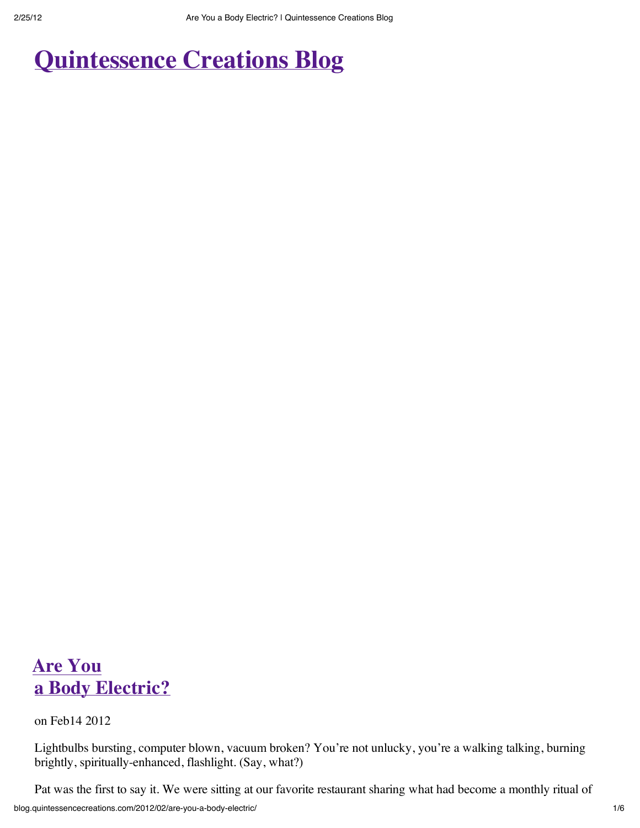# **Quintessence Creations Blog**

## **Are You a Body Electric?**

on Feb14 2012

Lightbulbs bursting, computer blown, vacuum broken? You're not unlucky, you're a walking talking, burning brightly, spiritually-enhanced, flashlight. (Say, what?)

Pat was the first to say it. We were sitting at our favorite restaurant sharing what had become a monthly ritual of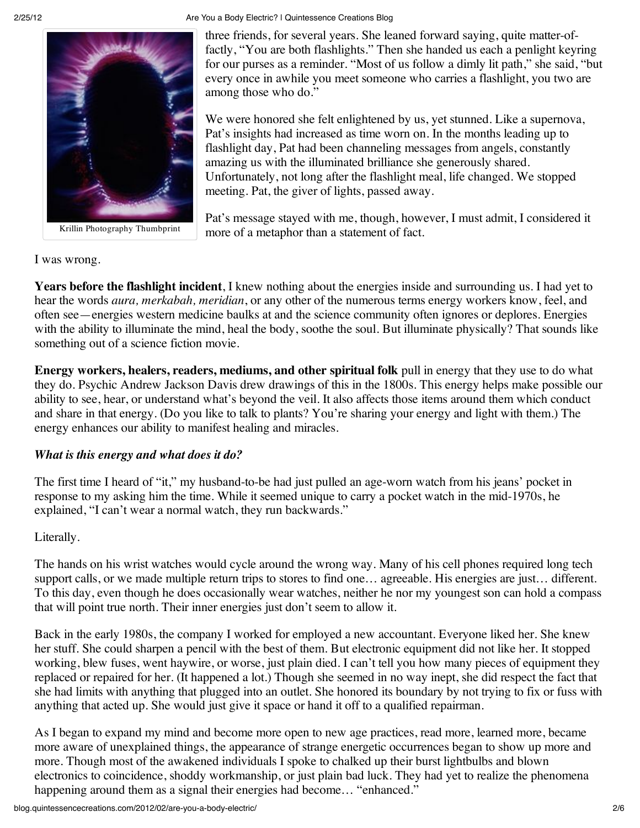

Krillin Photography Thumbprint

#### 2/25/12 Are You a Body Electric? | Quintessence Creations Blog

three friends, for several years. She leaned forward saying, quite matter-offactly, "You are both flashlights." Then she handed us each a penlight keyring for our purses as a reminder. "Most of us follow a dimly lit path," she said, "but every once in awhile you meet someone who carries a flashlight, you two are among those who do."

We were honored she felt enlightened by us, yet stunned. Like a supernova, Pat's insights had increased as time worn on. In the months leading up to flashlight day, Pat had been channeling messages from angels, constantly amazing us with the illuminated brilliance she generously shared. Unfortunately, not long after the flashlight meal, life changed. We stopped meeting. Pat, the giver of lights, passed away.

Pat's message stayed with me, though, however, I must admit, I considered it more of a metaphor than a statement of fact.

I was wrong.

**Years before the flashlight incident**, I knew nothing about the energies inside and surrounding us. I had yet to hear the words *aura, merkabah, meridian*, or any other of the numerous terms energy workers know, feel, and often see—energies western medicine baulks at and the science community often ignores or deplores. Energies with the ability to illuminate the mind, heal the body, soothe the soul. But illuminate physically? That sounds like something out of a science fiction movie.

**Energy workers, healers, readers, mediums, and other spiritual folk** pull in energy that they use to do what they do. Psychic Andrew Jackson Davis drew drawings of this in the 1800s. This energy helps make possible our ability to see, hear, or understand what's beyond the veil. It also affects those items around them which conduct and share in that energy. (Do you like to talk to plants? You're sharing your energy and light with them.) The energy enhances our ability to manifest healing and miracles.

### *What is this energy and what does it do?*

The first time I heard of "it," my husband-to-be had just pulled an age-worn watch from his jeans' pocket in response to my asking him the time. While it seemed unique to carry a pocket watch in the mid-1970s, he explained, "I can't wear a normal watch, they run backwards."

### Literally.

The hands on his wrist watches would cycle around the wrong way. Many of his cell phones required long tech support calls, or we made multiple return trips to stores to find one... agreeable. His energies are just... different. To this day, even though he does occasionally wear watches, neither he nor my youngest son can hold a compass that will point true north. Their inner energies just don't seem to allow it.

Back in the early 1980s, the company I worked for employed a new accountant. Everyone liked her. She knew her stuff. She could sharpen a pencil with the best of them. But electronic equipment did not like her. It stopped working, blew fuses, went haywire, or worse, just plain died. I can't tell you how many pieces of equipment they replaced or repaired for her. (It happened a lot.) Though she seemed in no way inept, she did respect the fact that she had limits with anything that plugged into an outlet. She honored its boundary by not trying to fix or fuss with anything that acted up. She would just give it space or hand it off to a qualified repairman.

As I began to expand my mind and become more open to new age practices, read more, learned more, became more aware of unexplained things, the appearance of strange energetic occurrences began to show up more and more. Though most of the awakened individuals I spoke to chalked up their burst lightbulbs and blown electronics to coincidence, shoddy workmanship, or just plain bad luck. They had yet to realize the phenomena happening around them as a signal their energies had become... "enhanced."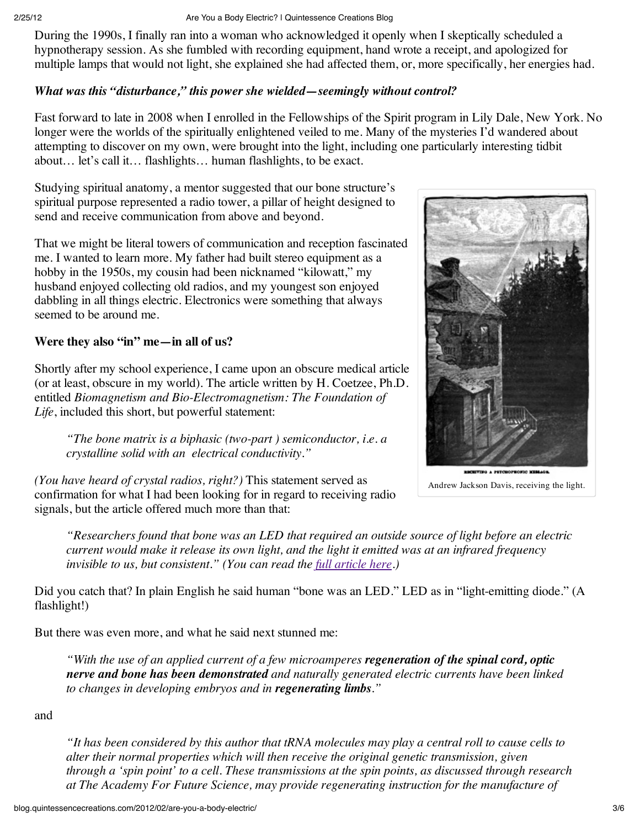During the 1990s, I finally ran into a woman who acknowledged it openly when I skeptically scheduled a hypnotherapy session. As she fumbled with recording equipment, hand wrote a receipt, and apologized for multiple lamps that would not light, she explained she had affected them, or, more specifically, her energies had.

### *What was this "disturbance," this power she wielded—seemingly without control?*

Fast forward to late in 2008 when I enrolled in the Fellowships of the Spirit program in Lily Dale, New York. No longer were the worlds of the spiritually enlightened veiled to me. Many of the mysteries I'd wandered about attempting to discover on my own, were brought into the light, including one particularly interesting tidbit about… let's call it… flashlights… human flashlights, to be exact.

Studying spiritual anatomy, a mentor suggested that our bone structure's spiritual purpose represented a radio tower, a pillar of height designed to send and receive communication from above and beyond.

That we might be literal towers of communication and reception fascinated me. I wanted to learn more. My father had built stereo equipment as a hobby in the 1950s, my cousin had been nicknamed "kilowatt," my husband enjoyed collecting old radios, and my youngest son enjoyed dabbling in all things electric. Electronics were something that always seemed to be around me.

### **Were they also "in" me—in all of us?**

Shortly after my school experience, I came upon an obscure medical article (or at least, obscure in my world). The article written by H. Coetzee, Ph.D. entitled *Biomagnetism and Bio-Electromagnetism: The Foundation of Life*, included this short, but powerful statement:

*"The bone matrix is a biphasic (two-part ) semiconductor, i.e. a crystalline solid with an electrical conductivity."*

*(You have heard of crystal radios, right?)* This statement served as confirmation for what I had been looking for in regard to receiving radio signals, but the article offered much more than that:

*"Researchers found that bone was an LED that required an outside source of light before an electric current would make it release its own light, and the light it emitted was at an infrared frequency invisible to us, but consistent." (You can read the full article here.)*

Did you catch that? In plain English he said human "bone was an LED." LED as in "light-emitting diode." (A flashlight!)

But there was even more, and what he said next stunned me:

*"With the use of an applied current of a few microamperes regeneration of the spinal cord, optic nerve and bone has been demonstrated and naturally generated electric currents have been linked to changes in developing embryos and in regenerating limbs."*

and

*"It has been considered by this author that tRNA molecules may play a central roll to cause cells to alter their normal properties which will then receive the original genetic transmission, given through a 'spin point' to a cell. These transmissions at the spin points, as discussed through research at The Academy For Future Science, may provide regenerating instruction for the manufacture of*



Andrew Jackson Davis, receiving the light.